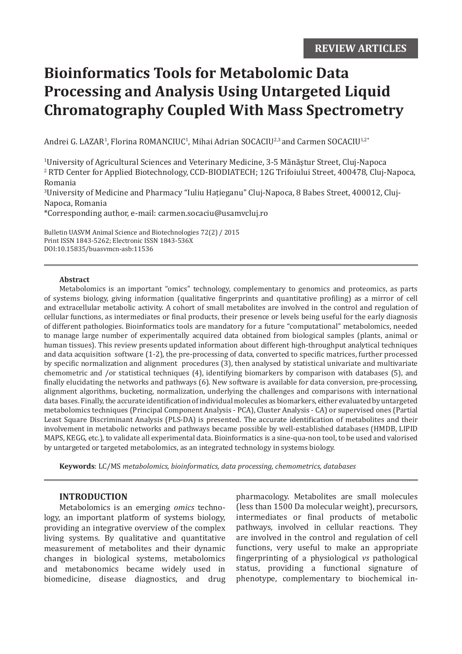# **Bioinformatics Tools for Metabolomic Data Processing and Analysis Using Untargeted Liquid Chromatography Coupled With Mass Spectrometry**

Andrei G. LAZAR<sup>1</sup>, Florina ROMANCIUC<sup>1</sup>, Mihai Adrian SOCACIU<sup>2,3</sup> and Carmen SOCACIU<sup>1,2</sup>

1 University of Agricultural Sciences and Veterinary Medicine, 3-5 Mănăştur Street, Cluj-Napoca 2 RTD Center for Applied Biotechnology, CCD-BIODIATECH; 12G Trifoiului Street, 400478, Cluj-Napoca, Romania

3 University of Medicine and Pharmacy "Iuliu Haţieganu" Cluj-Napoca, 8 Babes Street, 400012, Cluj-Napoca, Romania

\*Corresponding author, e-mail: carmen.socaciu@usamvcluj.ro

Bulletin UASVM Animal Science and Biotechnologies 72(2) / 2015 Print ISSN 1843-5262; Electronic ISSN 1843-536X DOI:10.15835/buasvmcn-asb:11536

#### **Abstract**

Metabolomics is an important "omics" technology, complementary to genomics and proteomics, as parts of systems biology, giving information (qualitative fingerprints and quantitative profiling) as a mirror of cell and extracellular metabolic activity. A cohort of small metabolites are involved in the control and regulation of cellular functions, as intermediates or final products, their presence or levels being useful for the early diagnosis of different pathologies. Bioinformatics tools are mandatory for a future "computational" metabolomics, needed to manage large number of experimentally acquired data obtained from biological samples (plants, animal or human tissues). This review presents updated information about different high-throughput analytical techniques and data acquisition software (1-2), the pre-processing of data, converted to specific matrices, further processed by specific normalization and alignment procedures (3), then analysed by statistical univariate and multivariate chemometric and /or statistical techniques (4), identifying biomarkers by comparison with databases (5), and finally elucidating the networks and pathways (6). New software is available for data conversion, pre-processing, alignment algorithms, bucketing, normalization, underlying the challenges and comparisons with international data bases. Finally, the accurate identification of individual molecules as biomarkers, either evaluated by untargeted metabolomics techniques (Principal Component Analysis - PCA), Cluster Analysis - CA) or supervised ones (Partial Least Square Discriminant Analysis (PLS-DA) is presented. The accurate identification of metabolites and their involvement in metabolic networks and pathways became possible by well-established databases (HMDB, LIPID MAPS, KEGG, etc.), to validate all experimental data. Bioinformatics is a sine-qua-non tool, to be used and valorised by untargeted or targeted metabolomics, as an integrated technology in systems biology.

**Keywords**: LC/MS *metabolomics, bioinformatics, data processing, chemometrics, databases*

## **INTRODUCTION**

Metabolomics is an emerging *omics* technology, an important platform of systems biology, providing an integrative overview of the complex living systems. By qualitative and quantitative measurement of metabolites and their dynamic changes in biological systems, metabolomics and metabonomics became widely used in biomedicine, disease diagnostics, and drug pharmacology. Metabolites are small molecules (less than 1500 Da molecular weight), precursors, intermediates or final products of metabolic pathways, involved in cellular reactions. They are involved in the control and regulation of cell functions, very useful to make an appropriate fingerprinting of a physiological *vs* pathological status, providing a functional signature of phenotype, complementary to biochemical in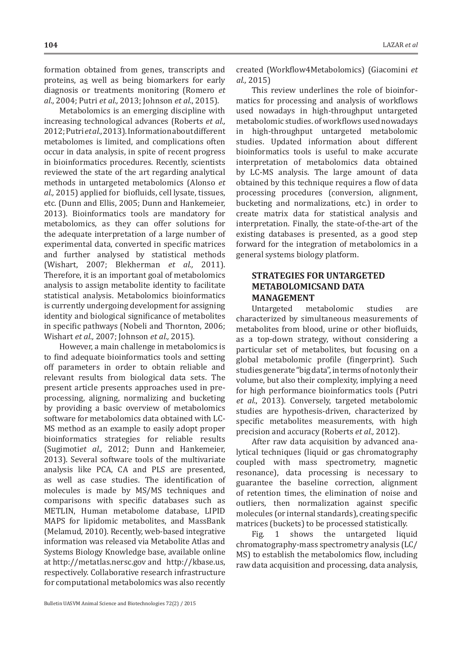formation obtained from genes, transcripts and proteins, as well as being biomarkers for early diagnosis or treatments monitoring (Romero *et al*., 2004; Putri *et al.,* 2013; Johnson *et al*., 2015).

Metabolomics is an emerging discipline with increasing technological advances (Roberts *et al.,* 2012; Putri *et al.,* 2013). Information about different metabolomes is limited, and complications often occur in data analysis, in spite of recent progress in bioinformatics procedures. Recently, scientists reviewed the state of the art regarding analytical methods in untargeted metabolomics (Alonso *et al.,* 2015) applied for biofluids, cell lysate, tissues, etc. (Dunn and Ellis, 2005; Dunn and Hankemeier, 2013). Bioinformatics tools are mandatory for metabolomics, as they can offer solutions for the adequate interpretation of a large number of experimental data, converted in specific matrices and further analysed by statistical methods (Wishart, 2007; Blekherman *et al.,* 2011). Therefore, it is an important goal of metabolomics analysis to assign metabolite identity to facilitate statistical analysis. Metabolomics bioinformatics is currently undergoing development for assigning identity and biological significance of metabolites in specific pathways (Nobeli and Thornton, 2006; Wishart *et al.,* 2007; Johnson *et al.,* 2015).

However, a main challenge in metabolomics is to find adequate bioinformatics tools and setting off parameters in order to obtain reliable and relevant results from biological data sets. The present article presents approaches used in preprocessing, aligning, normalizing and bucketing by providing a basic overview of metabolomics software for metabolomics data obtained with LC-MS method as an example to easily adopt proper bioinformatics strategies for reliable results (Sugimoti*et al.,* 2012; Dunn and Hankemeier, 2013). Several software tools of the multivariate analysis like PCA, CA and PLS are presented, as well as case studies. The identification of molecules is made by MS/MS techniques and comparisons with specific databases such as METLIN, Human metabolome database, LIPID MAPS for lipidomic metabolites, and MassBank (Melamud, 2010). Recently, web-based integrative information was released via Metabolite Atlas and Systems Biology Knowledge base, available online at http://metatlas.nersc.gov and http://kbase.us, respectively. Collaborative research infrastructure for computational metabolomics was also recently created (Workflow4Metabolomics) (Giacomini *et al.,* 2015)

This review underlines the role of bioinformatics for processing and analysis of workflows used nowadays in high-throughput untargeted metabolomic studies. of workflows used nowadays<br>in high-throughput untargeted metabolomic high-throughput untargeted metabolomic studies. Updated information about different bioinformatics tools is useful to make accurate interpretation of metabolomics data obtained by LC-MS analysis. The large amount of data obtained by this technique requires a flow of data processing procedures (conversion, alignment, bucketing and normalizations, etc.) in order to create matrix data for statistical analysis and interpretation. Finally, the state-of-the-art of the existing databases is presented, as a good step forward for the integration of metabolomics in a general systems biology platform.

# **STRATEGIES FOR UNTARGETED METABOLOMICSAND DATA MANAGEMENT**

Untargeted metabolomic studies are characterized by simultaneous measurements of metabolites from blood, urine or other biofluids, as a top-down strategy, without considering a particular set of metabolites, but focusing on a global metabolomic profile (fingerprint). Such studies generate "big data", in terms of not only their volume, but also their complexity, implying a need for high performance bioinformatics tools (Putri *et al*., 2013). Conversely, targeted metabolomic studies are hypothesis-driven, characterized by specific metabolites measurements, with high precision and accuracy (Roberts *et al.,* 2012).

After raw data acquisition by advanced analytical techniques (liquid or gas chromatography coupled with mass spectrometry, magnetic resonance), data processing is necessary to guarantee the baseline correction, alignment of retention times, the elimination of noise and outliers, then normalization against specific molecules (or internal standards), creating specific matrices (buckets) to be processed statistically.

Fig. 1 shows the untargeted liquid chromatography-mass spectrometry analysis (LC/ MS) to establish the metabolomics flow, including raw data acquisition and processing, data analysis,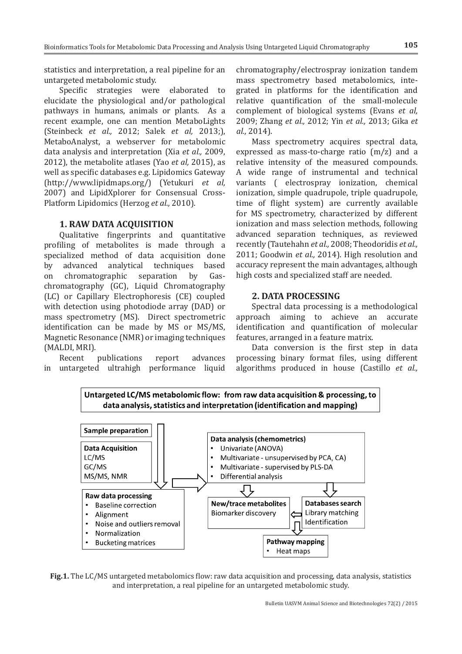**105**

statistics and interpretation, a real pipeline for an untargeted metabolomic study.

Specific strategies were elaborated to elucidate the physiological and/or pathological pathways in humans, animals or plants. As a recent example, one can mention MetaboLights (Steinbeck *et al.,* 2012; Salek *et al,* 2013;), MetaboAnalyst, a webserver for metabolomic data analysis and interpretation (Xia *et al.,* 2009, 2012), the metabolite atlases (Yao *et al,* 2015), as well as specific databases e.g. Lipidomics Gateway (http://www.lipidmaps.org/) (Yetukuri *et al,* 2007) and LipidXplorer for Consensual Cross-Platform Lipidomics (Herzog *et al.,* 2010).

#### **1. RAW DATA ACQUISITION**

Qualitative fingerprints and quantitative profiling of metabolites is made through a specialized method of data acquisition done by advanced analytical techniques based<br>on chromatographic separation by Gason chromatographic chromatography (GC), Liquid Chromatography (LC) or Capillary Electrophoresis (CE) coupled with detection using photodiode array (DAD) or mass spectrometry (MS). Direct spectrometric identification can be made by MS or MS/MS, Magnetic Resonance (NMR) or imaging techniques (MALDI, MRI).

publications report advances in untargeted ultrahigh performance liquid

chromatography/electrospray ionization tandem mass spectrometry based metabolomics, integrated in platforms for the identification and relative quantification of the small-molecule complement of biological systems (Evans *et al,* 2009; Zhang *et al.,* 2012; Yin *et al.,* 2013; Gika *et al.,* 2014).

Mass spectrometry acquires spectral data, expressed as mass-to-charge ratio (m/z) and a relative intensity of the measured compounds. A wide range of instrumental and technical variants ( electrospray ionization, chemical ionization, simple quadrupole, triple quadrupole, time of flight system) are currently available for MS spectrometry, characterized by different ionization and mass selection methods, following advanced separation techniques, as reviewed recently (Tautehahn *et al.,* 2008; Theodoridis *et al.,* 2011; Goodwin *et al.,* 2014). High resolution and accuracy represent the main advantages, although high costs and specialized staff are needed.

#### **2. DATA PROCESSING**

Spectral data processing is a methodological approach aiming to achieve an accurate identification and quantification of molecular features, arranged in a feature matrix.

Data conversion is the first step in data processing binary format files, using different algorithms produced in house (Castillo *et al.,*



Untargeted LC/MS metabolomic flow: from raw data acquisition & processing, to data analysis, statistics and interpretation (identification and mapping)

**Fig.1.** The LC/MS untargeted metabolomics flow: raw data acquisition and processing, data analysis, statistics and interpretation, a real pipeline for an untargeted metabolomic study.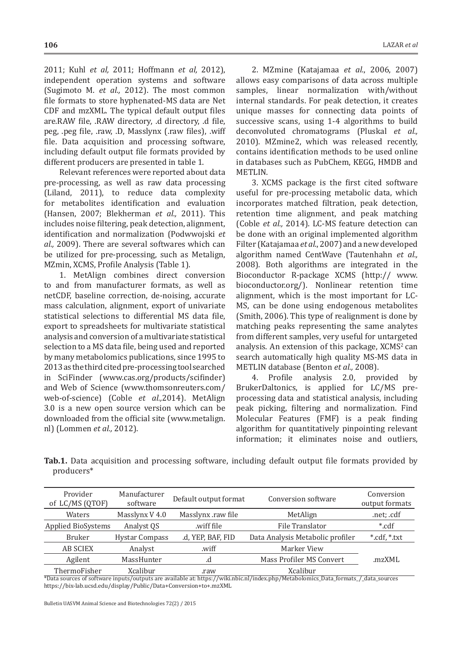2011; Kuhl *et al,* 2011; Hoffmann *et al,* 2012), independent operation systems and software (Sugimoto M. *et al.,* 2012). The most common file formats to store hyphenated-MS data are Net CDF and mzXML. The typical default output files are.RAW file, .RAW directory, .d directory, .d file, peg, .peg file, .raw, .D, Masslynx (.raw files), .wiff file. Data acquisition and processing software, including default output file formats provided by different producers are presented in table 1.

Relevant references were reported about data pre-processing, as well as raw data processing (Liland, 2011), to reduce data complexity for metabolites identification and evaluation (Hansen, 2007; Blekherman *et al.,* 2011). This includes noise filtering, peak detection, alignment, identification and normalization (Podwwojski *et al.,* 2009). There are several softwares which can be utilized for pre-processing, such as Metalign, MZmin, XCMS, Profile Analysis (Table 1).

1. MetAlign combines direct conversion to and from manufacturer formats, as well as netCDF, baseline correction, de-noising, accurate mass calculation, alignment, export of univariate statistical selections to differential MS data file, export to spreadsheets for multivariate statistical analysis and conversion of a multivariate statistical selection to a MS data file, being used and reported by many metabolomics publications, since 1995 to 2013 as the third cited pre-processing tool searched in SciFinder (www.cas.org/products/scifinder) and Web of Science (www.thomsonreuters.com/ web-of-science) (Coble *et al.,*2014). MetAlign 3.0 is a new open source version which can be downloaded from the official site (www.metalign. nl) (Lommen *et al.,* 2012).

2. MZmine (Katajamaa *et al.*, 2006, 2007) allows easy comparisons of data across multiple samples, linear normalization with/without internal standards. For peak detection, it creates unique masses for connecting data points of successive scans, using 1-4 algorithms to build deconvoluted chromatograms (Pluskal *et al.,* 2010). MZmine2, which was released recently, contains identification methods to be used online in databases such as PubChem, KEGG, HMDB and METLIN.

3. XCMS package is the first cited software useful for pre-processing metabolic data, which incorporates matched filtration, peak detection, retention time alignment, and peak matching (Coble *et al.,* 2014). LC-MS feature detection can be done with an original implemented algorithm Filter (Katajamaa *et al*., 2007) and a new developed algorithm named CentWave (Tautenhahn *et al.,* 2008). Both algorithms are integrated in the Bioconductor R-package XCMS (http:// www. bioconductor.org/). Nonlinear retention time alignment, which is the most important for LC-MS, can be done using endogenous metabolites (Smith, 2006). This type of realignment is done by matching peaks representing the same analytes from different samples, very useful for untargeted analysis. An extension of this package,  $XCMS<sup>2</sup>$  can search automatically high quality MS-MS data in METLIN database (Benton *et al.,* 2008).

Profile analysis 2.0, provided by BrukerDaltonics, is applied for LC/MS preprocessing data and statistical analysis, including peak picking, filtering and normalization. Find Molecular Features (FMF) is a peak finding algorithm for quantitatively pinpointing relevant information; it eliminates noise and outliers,

**Tab.1.** Data acquisition and processing software, including default output file formats provided by producers\*

| Provider<br>of LC/MS (QTOF) | Manufacturer<br>software | Default output format | Conversion software              | Conversion<br>output formats |
|-----------------------------|--------------------------|-----------------------|----------------------------------|------------------------------|
| Waters                      | Masslynx V 4.0           | Masslynx .raw file    | MetAlign                         | .net; .cdf                   |
| <b>Applied BioSystems</b>   | Analyst QS               | wiff file             | File Translator                  | *.cdf                        |
| <b>Bruker</b>               | <b>Hystar Compass</b>    | .d, YEP, BAF, FID     | Data Analysis Metabolic profiler | *.cdf, *.txt                 |
| <b>AB SCIEX</b>             | Analyst                  | .wiff                 | Marker View                      |                              |
| Agilent                     | MassHunter               | .d                    | Mass Profiler MS Convert         | .mzXML                       |
| ThermoFisher                | Xcalibur                 | raw.                  | Xcalibur                         |                              |

\*Data sources of software inputs/outputs are available at: https://wiki.nbic.nl/index.php/Metabolomics\_Data\_formats\_/\_data\_sources https://bix-lab.ucsd.edu/display/Public/Data+Conversion+to+.mzXML

Bulletin UASVM Animal Science and Biotechnologies 72(2) / 2015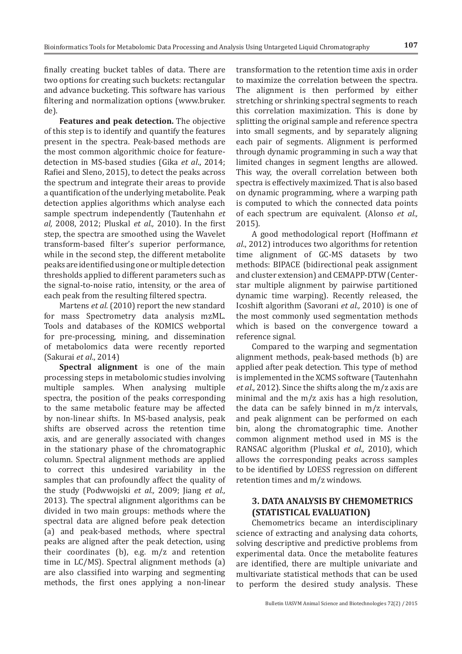finally creating bucket tables of data. There are two options for creating such buckets: rectangular and advance bucketing. This software has various filtering and normalization options (www.bruker. de).

**Features and peak detection.** The objective of this step is to identify and quantify the features present in the spectra. Peak-based methods are the most common algorithmic choice for featuredetection in MS-based studies (Gika *et al*., 2014; Rafiei and Sleno, 2015), to detect the peaks across the spectrum and integrate their areas to provide a quantification of the underlying metabolite. Peak detection applies algorithms which analyse each sample spectrum independently (Tautenhahn *et al,* 2008, 2012; Pluskal *et al.,* 2010). In the first step, the spectra are smoothed using the Wavelet transform-based filter's superior performance, while in the second step, the different metabolite peaks are identified using one or multiple detection thresholds applied to different parameters such as the signal-to-noise ratio, intensity, or the area of each peak from the resulting filtered spectra.

Martens *et al.* (2010) report the new standard for mass Spectrometry data analysis mzML. Tools and databases of the KOMICS webportal for pre-processing, mining, and dissemination of metabolomics data were recently reported (Sakurai *et al*., 2014)

**Spectral alignment** is one of the main processing steps in metabolomic studies involving multiple samples. When analysing multiple spectra, the position of the peaks corresponding to the same metabolic feature may be affected by non-linear shifts. In MS-based analysis, peak shifts are observed across the retention time axis, and are generally associated with changes in the stationary phase of the chromatographic column. Spectral alignment methods are applied to correct this undesired variability in the samples that can profoundly affect the quality of the study (Podwwojski *et al.,* 2009; Jiang *et al.,* 2013). The spectral alignment algorithms can be divided in two main groups: methods where the spectral data are aligned before peak detection (a) and peak-based methods, where spectral peaks are aligned after the peak detection, using their coordinates (b), e.g. m/z and retention time in LC/MS). Spectral alignment methods (a) are also classified into warping and segmenting methods, the first ones applying a non-linear

transformation to the retention time axis in order to maximize the correlation between the spectra. The alignment is then performed by either stretching or shrinking spectral segments to reach this correlation maximization. This is done by splitting the original sample and reference spectra into small segments, and by separately aligning each pair of segments. Alignment is performed through dynamic programming in such a way that limited changes in segment lengths are allowed. This way, the overall correlation between both spectra is effectively maximized. That is also based on dynamic programming, where a warping path is computed to which the connected data points of each spectrum are equivalent. (Alonso *et al.,* 2015).

A good methodological report (Hoffmann *et al*., 2012) introduces two algorithms for retention time alignment of GC-MS datasets by two methods: BIPACE (bidirectional peak assignment and cluster extension) and CEMAPP-DTW (Centerstar multiple alignment by pairwise partitioned dynamic time warping). Recently released, the Icoshift algorithm (Savorani *et al.,* 2010) is one of the most commonly used segmentation methods which is based on the convergence toward a reference signal.

Compared to the warping and segmentation alignment methods, peak-based methods (b) are applied after peak detection. This type of method is implemented in the XCMS software (Tautenhahn *et al.,* 2012). Since the shifts along the m/z axis are minimal and the m/z axis has a high resolution, the data can be safely binned in m/z intervals, and peak alignment can be performed on each bin, along the chromatographic time. Another common alignment method used in MS is the RANSAC algorithm (Pluskal *et al.,* 2010), which allows the corresponding peaks across samples to be identified by LOESS regression on different retention times and m/z windows.

### **3. DATA ANALYSIS BY CHEMOMETRICS (STATISTICAL EVALUATION)**

Chemometrics became an interdisciplinary science of extracting and analysing data cohorts, solving descriptive and predictive problems from experimental data. Once the metabolite features are identified, there are multiple univariate and multivariate statistical methods that can be used to perform the desired study analysis. These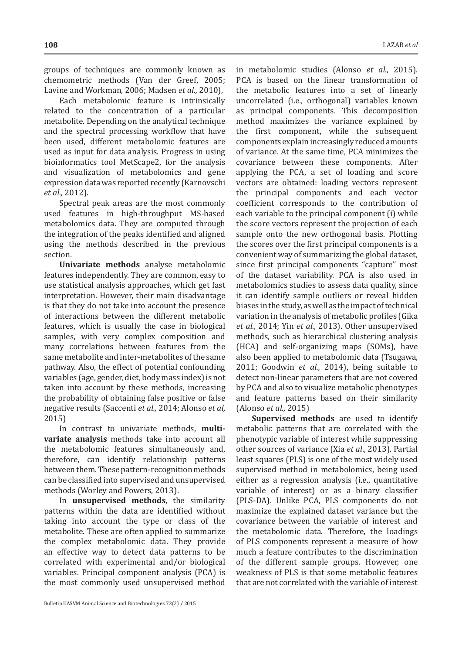groups of techniques are commonly known as chemometric methods (Van der Greef, 2005; Lavine and Workman, 2006; Madsen *et al.,* 2010),

Each metabolomic feature is intrinsically related to the concentration of a particular metabolite. Depending on the analytical technique and the spectral processing workflow that have been used, different metabolomic features are used as input for data analysis. Progress in using bioinformatics tool MetScape2, for the analysis and visualization of metabolomics and gene expression data was reported recently (Karnovschi *et al.,* 2012).

Spectral peak areas are the most commonly used features in high-throughput MS-based metabolomics data. They are computed through the integration of the peaks identified and aligned using the methods described in the previous section.

**Univariate methods** analyse metabolomic features independently. They are common, easy to use statistical analysis approaches, which get fast interpretation. However, their main disadvantage is that they do not take into account the presence of interactions between the different metabolic features, which is usually the case in biological samples, with very complex composition and many correlations between features from the same metabolite and inter-metabolites of the same pathway. Also, the effect of potential confounding variables (age, gender, diet, body mass index) is not taken into account by these methods, increasing the probability of obtaining false positive or false negative results (Saccenti *et al.,* 2014; Alonso *et al,* 2015)

In contrast to univariate methods, **multivariate analysis** methods take into account all the metabolomic features simultaneously and, therefore, can identify relationship patterns between them. These pattern-recognition methods can be classified into supervised and unsupervised methods (Worley and Powers, 2013).

In **unsupervised methods**, the similarity patterns within the data are identified without taking into account the type or class of the metabolite. These are often applied to summarize the complex metabolomic data. They provide an effective way to detect data patterns to be correlated with experimental and/or biological variables. Principal component analysis (PCA) is the most commonly used unsupervised method

in metabolomic studies (Alonso *et al*., 2015). PCA is based on the linear transformation of the metabolic features into a set of linearly uncorrelated (i.e., orthogonal) variables known as principal components. This decomposition method maximizes the variance explained by the first component, while the subsequent components explain increasingly reduced amounts of variance. At the same time, PCA minimizes the covariance between these components. After applying the PCA, a set of loading and score vectors are obtained: loading vectors represent the principal components and each vector coefficient corresponds to the contribution of each variable to the principal component (i) while the score vectors represent the projection of each sample onto the new orthogonal basis. Plotting the scores over the first principal components is a convenient way of summarizing the global dataset, since first principal components "capture" most of the dataset variability. PCA is also used in metabolomics studies to assess data quality, since it can identify sample outliers or reveal hidden biases in the study, as well as the impact of technical variation in the analysis of metabolic profiles (Gika *et al.,* 2014; Yin *et al.,* 2013). Other unsupervised methods, such as hierarchical clustering analysis (HCA) and self-organizing maps (SOMs), have also been applied to metabolomic data (Tsugawa, 2011; Goodwin *et al.,* 2014), being suitable to detect non-linear parameters that are not covered by PCA and also to visualize metabolic phenotypes

(Alonso *et al.,* 2015) **Supervised methods** are used to identify metabolic patterns that are correlated with the phenotypic variable of interest while suppressing other sources of variance (Xia *et al*., 2013). Partial least squares (PLS) is one of the most widely used supervised method in metabolomics, being used either as a regression analysis (i.e., quantitative variable of interest) or as a binary classifier (PLS-DA). Unlike PCA, PLS components do not maximize the explained dataset variance but the covariance between the variable of interest and the metabolomic data. Therefore, the loadings of PLS components represent a measure of how much a feature contributes to the discrimination of the different sample groups. However, one weakness of PLS is that some metabolic features that are not correlated with the variable of interest

and feature patterns based on their similarity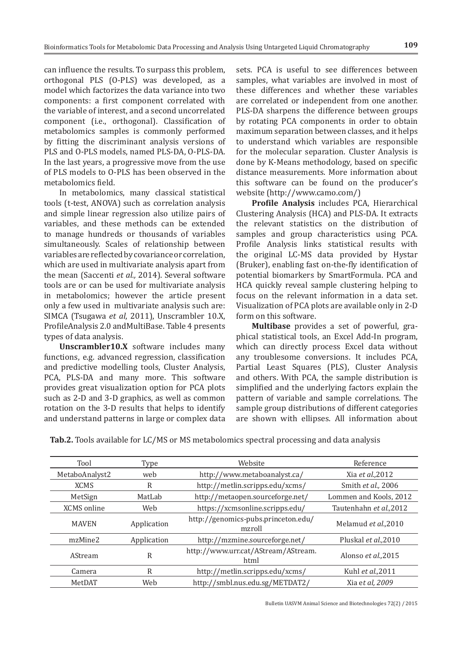can influence the results. To surpass this problem, orthogonal PLS (O-PLS) was developed, as a model which factorizes the data variance into two components: a first component correlated with the variable of interest, and a second uncorrelated component (i.e., orthogonal). Classification of metabolomics samples is commonly performed by fitting the discriminant analysis versions of PLS and O-PLS models, named PLS-DA, O-PLS-DA. In the last years, a progressive move from the use of PLS models to O-PLS has been observed in the metabolomics field.

In metabolomics, many classical statistical tools (t-test, ANOVA) such as correlation analysis and simple linear regression also utilize pairs of variables, and these methods can be extended to manage hundreds or thousands of variables simultaneously. Scales of relationship between variables are reflected by covariance or correlation, which are used in multivariate analysis apart from the mean (Saccenti *et al.,* 2014). Several software tools are or can be used for multivariate analysis in metabolomics; however the article present only a few used in multivariate analysis such are: SIMCA (Tsugawa *et al*, 2011), Unscrambler 10.X, ProfileAnalysis 2.0 andMultiBase. Table 4 presents types of data analysis.

**Unscrambler10.X** software includes many functions, e.g. advanced regression, classification and predictive modelling tools, Cluster Analysis, PCA, PLS-DA and many more. This software provides great visualization option for PCA plots such as 2-D and 3-D graphics, as well as common rotation on the 3-D results that helps to identify and understand patterns in large or complex data sets. PCA is useful to see differences between samples, what variables are involved in most of these differences and whether these variables are correlated or independent from one another. PLS-DA sharpens the difference between groups by rotating PCA components in order to obtain maximum separation between classes, and it helps to understand which variables are responsible for the molecular separation. Cluster Analysis is done by K-Means methodology, based on specific distance measurements. More information about this software can be found on the producer's website (http://www.camo.com/)

**Profile Analysis** includes PCA, Hierarchical Clustering Analysis (HCA) and PLS-DA. It extracts the relevant statistics on the distribution of samples and group characteristics using PCA. Profile Analysis links statistical results with the original LC-MS data provided by Hystar (Bruker), enabling fast on-the-fly identification of potential biomarkers by SmartFormula. PCA and HCA quickly reveal sample clustering helping to focus on the relevant information in a data set. Visualization of PCA plots are available only in 2-D form on this software.

**Multibase** provides a set of powerful, graphical statistical tools, an Excel Add-In program, which can directly process Excel data without any troublesome conversions. It includes PCA, Partial Least Squares (PLS), Cluster Analysis and others. With PCA, the sample distribution is simplified and the underlying factors explain the pattern of variable and sample correlations. The sample group distributions of different categories are shown with ellipses. All information about

| Tool           | Type        | Website                                       | Reference               |
|----------------|-------------|-----------------------------------------------|-------------------------|
| MetaboAnalyst2 | web         | http://www.metaboanalyst.ca/                  | Xia et al., 2012        |
| <b>XCMS</b>    | R           | http://metlin.scripps.edu/xcms/               | Smith et al., 2006      |
| MetSign        | MatLab      | http://metaopen.sourceforge.net/              | Lommen and Kools, 2012  |
| XCMS online    | Web         | https://xcmsonline.scripps.edu/               | Tautenhahn et al., 2012 |
| <b>MAVEN</b>   | Application | http://genomics-pubs.princeton.edu/<br>mzroll | Melamud et al., 2010    |
| mzMine2        | Application | http://mzmine.sourceforge.net/                | Pluskal et al., 2010    |
| <b>AStream</b> | R           | http://www.urr.cat/AStream/AStream.<br>html   | Alonso et al., 2015     |
| Camera         | R           | http://metlin.scripps.edu/xcms/               | Kuhl et al., 2011       |
| MetDAT         | Web         | http://smbl.nus.edu.sg/METDAT2/               | Xia et al, 2009         |

Bulletin UASVM Animal Science and Biotechnologies 72(2) / 2015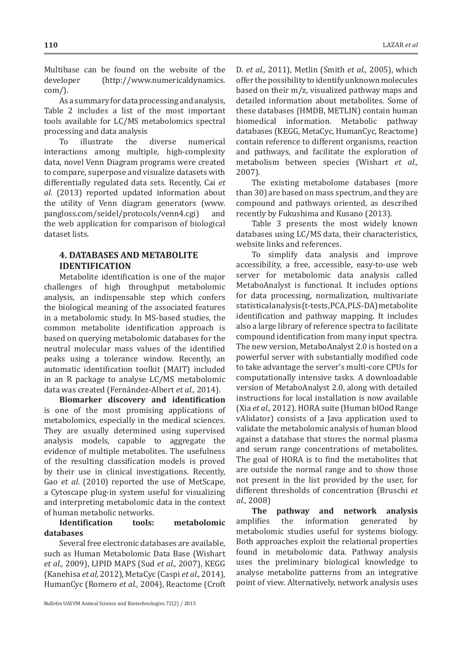Multibase can be found on the website of the developer (http://www.numericaldynamics. (http://www.numericaldynamics. com/).

As a summary for data processing and analysis, Table 2 includes a list of the most important tools available for LC/MS metabolomics spectral processing and data analysis<br>To illustrate the

diverse numerical interactions among multiple, high-complexity data, novel Venn Diagram programs were created to compare, superpose and visualize datasets with differentially regulated data sets. Recently, Cai *et al*. (2013) reported updated information about the utility of Venn diagram generators (www. pangloss.com/seidel/protocols/venn4.cgi) and the web application for comparison of biological dataset lists.

# **4. DATABASES AND METABOLITE IDENTIFICATION**

Metabolite identification is one of the major challenges of high throughput metabolomic analysis, an indispensable step which confers the biological meaning of the associated features in a metabolomic study. In MS-based studies, the common metabolite identification approach is based on querying metabolomic databases for the neutral molecular mass values of the identified peaks using a tolerance window. Recently, an automatic identification toolkit (MAIT) included in an R package to analyse LC/MS metabolomic data was created (Fernández-Albert *et al.,* 2014).

**Biomarker discovery and identification** is one of the most promising applications of metabolomics, especially in the medical sciences. They are usually determined using supervised analysis models, capable to aggregate the evidence of multiple metabolites. The usefulness of the resulting classification models is proved by their use in clinical investigations. Recently, Gao *et al*. (2010) reported the use of MetScape, a Cytoscape plug-in system useful for visualizing and interpreting metabolomic data in the context of human metabolic networks.<br>Identification tools:

### **Inetabolomic databases**

Several free electronic databases are available, such as Human Metabolomic Data Base (Wishart *et al.,* 2009), LIPID MAPS (Sud *et al.,* 2007), KEGG (Kanehisa *et al,* 2012), MetaCyc (Caspi *et al.,* 2014), HumanCyc (Romero et al., 2004), Reactome (Croft D. *et al.,* 2011), Metlin (Smith *et al.,* 2005), which offer the possibility to identify unknown molecules based on their m/z, visualized pathway maps and detailed information about metabolites. Some of these databases (HMDB, METLIN) contain human biomedical information. Metabolic pathway databases (KEGG, MetaCyc, HumanCyc, Reactome) contain reference to different organisms, reaction and pathways, and facilitate the exploration of metabolism between species (Wishart *et al.,* 2007).

The existing metabolome databases (more than 30) are based on mass spectrum, and they are compound and pathways oriented, as described recently by Fukushima and Kusano (2013).

Table 3 presents the most widely known databases using LC/MS data, their characteristics, website links and references.

To simplify data analysis and improve accessibility, a free, accessible, easy-to-use web server for metabolomic data analysis called MetaboAnalyst is functional. It includes options for data processing, normalization, multivariate statistical analysis (t-tests, PCA, PLS-DA) metabolite identification and pathway mapping. It includes also a large library of reference spectra to facilitate compound identification from many input spectra. The new version, MetaboAnalyst 2.0 is hosted on a powerful server with substantially modified code to take advantage the server's multi-core CPUs for computationally intensive tasks. A downloadable version of MetaboAnalyst 2.0, along with detailed instructions for local installation is now available (Xia *et al.,* 2012). HORA suite (Human blOod Range vAlidator) consists of a Java application used to validate the metabolomic analysis of human blood against a database that stores the normal plasma and serum range concentrations of metabolites. The goal of HORA is to find the metabolites that are outside the normal range and to show those not present in the list provided by the user, for different thresholds of concentration (Bruschi *et al.,* 2008)

**The pathway and network analysis**  amplifies the information generated by metabolomic studies useful for systems biology. Both approaches exploit the relational properties found in metabolomic data. Pathway analysis uses the preliminary biological knowledge to analyse metabolite patterns from an integrative point of view. Alternatively, network analysis uses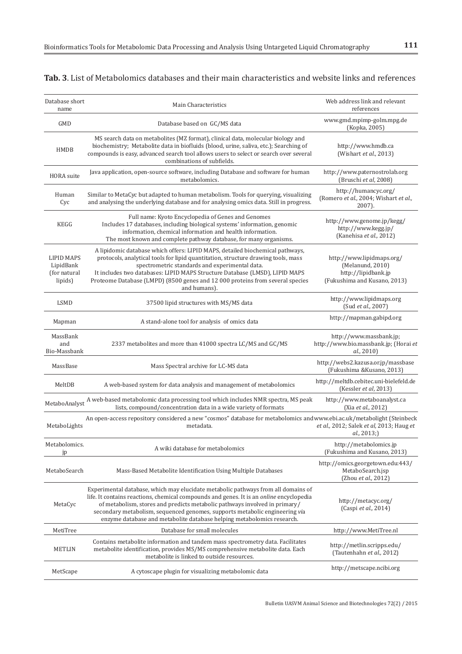| Database short<br>name                                    | Main Characteristics                                                                                                                                                                                                                                                                                                                                                                                                | Web address link and relevant<br>references                                                          |
|-----------------------------------------------------------|---------------------------------------------------------------------------------------------------------------------------------------------------------------------------------------------------------------------------------------------------------------------------------------------------------------------------------------------------------------------------------------------------------------------|------------------------------------------------------------------------------------------------------|
| <b>GMD</b>                                                | Database based on GC/MS data                                                                                                                                                                                                                                                                                                                                                                                        | www.gmd.mpimp-golm.mpg.de<br>(Kopka, 2005)                                                           |
| <b>HMDB</b>                                               | MS search data on metabolites (MZ format), clinical data, molecular biology and<br>biochemistry; Metabolite data in biofluids (blood, urine, saliva, etc.); Searching of<br>compounds is easy, advanced search tool allows users to select or search over several<br>combinations of subfields.                                                                                                                     | http://www.hmdb.ca<br>(Wishart et al., 2013)                                                         |
| <b>HORA</b> suite                                         | Java application, open-source software, including Database and software for human<br>metabolomics.                                                                                                                                                                                                                                                                                                                  | http://www.paternostrolab.org<br>(Bruschi et al, 2008)                                               |
| Human<br>Cyc                                              | Similar to MetaCyc but adapted to human metabolism. Tools for querying, visualizing<br>and analysing the underlying database and for analysing omics data. Still in progress.                                                                                                                                                                                                                                       | http://humancyc.org/<br>(Romero et al., 2004; Wishart et al.,<br>2007).                              |
| KEGG                                                      | Full name: Kyoto Encyclopedia of Genes and Genomes<br>Includes 17 databases, including biological systems' information, genomic<br>information, chemical information and health information.<br>The most known and complete pathway database, for many organisms.                                                                                                                                                   | http://www.genome.jp/kegg/<br>http://www.kegg.jp/<br>(Kanehisa et al., 2012)                         |
| <b>LIPID MAPS</b><br>LipidBank<br>(for natural<br>lipids) | A lipidomic database which offers: LIPID MAPS, detailed biochemical pathways,<br>protocols, analytical tools for lipid quantitation, structure drawing tools, mass<br>spectrometric standards and experimental data.<br>It includes two databases: LIPID MAPS Structure Database (LMSD), LIPID MAPS<br>Proteome Database (LMPD) (8500 genes and 12 000 proteins from several species<br>and humans).                | http://www.lipidmaps.org/<br>(Melanund, 2010)<br>http://lipidbank.jp<br>(Fukushima and Kusano, 2013) |
| <b>LSMD</b>                                               | 37500 lipid structures with MS/MS data                                                                                                                                                                                                                                                                                                                                                                              | http://www.lipidmaps.org<br>(Sud et al., 2007)                                                       |
| Mapman                                                    | A stand-alone tool for analysis of omics data                                                                                                                                                                                                                                                                                                                                                                       | http://mapman.gabipd.org                                                                             |
| MassBank<br>and<br>Bio-Massbank                           | 2337 metabolites and more than 41000 spectra LC/MS and GC/MS                                                                                                                                                                                                                                                                                                                                                        | http://www.massbank.jp;<br>http://www.bio.massbank.jp; (Horai et<br>al., 2010)                       |
| MassBase                                                  | Mass Spectral archive for LC-MS data                                                                                                                                                                                                                                                                                                                                                                                | http://webs2.kazusa.or.jp/massbase<br>(Fukushima & Kusano, 2013)                                     |
| MeltDB                                                    | A web-based system for data analysis and management of metabolomics                                                                                                                                                                                                                                                                                                                                                 | http://meltdb.cebitec.uni-bielefeld.de<br>(Kessler et al, 2013)                                      |
| MetaboAnalyst                                             | A web-based metabolomic data processing tool which includes NMR spectra, MS peak<br>lists, compound/concentration data in a wide variety of formats                                                                                                                                                                                                                                                                 | http://www.metaboanalyst.ca<br>(Xia et al., 2012)                                                    |
| MetaboLights                                              | An open-access repository considered a new "cosmos" database for metabolomics and www.ebi.ac.uk/metabolight (Steinbeck<br>metadata.                                                                                                                                                                                                                                                                                 | et al., 2012; Salek et al, 2013; Haug et<br>al., 2013;)                                              |
| Metabolomics.<br>jp                                       | A wiki database for metabolomics                                                                                                                                                                                                                                                                                                                                                                                    | http://metabolomics.jp<br>(Fukushima and Kusano, 2013)                                               |
| MetaboSearch                                              | Mass-Based Metabolite Identification Using Multiple Databases                                                                                                                                                                                                                                                                                                                                                       | http://omics.georgetown.edu:443/<br>MetaboSearch.jsp<br>(Zhou et al., 2012)                          |
| MetaCyc                                                   | Experimental database, which may elucidate metabolic pathways from all domains of<br>life. It contains reactions, chemical compounds and genes. It is an online encyclopedia<br>of metabolism, stores and predicts metabolic pathways involved in primary/<br>secondary metabolism, sequenced genomes, supports metabolic engineering via<br>enzyme database and metabolite database helping metabolomics research. | http://metacyc.org/<br>(Caspi et al., 2014)                                                          |
| MetiTree                                                  | Database for small molecules                                                                                                                                                                                                                                                                                                                                                                                        | http://www.MetiTree.nl                                                                               |
| <b>METLIN</b>                                             | Contains metabolite information and tandem mass spectrometry data. Facilitates<br>metabolite identification, provides MS/MS comprehensive metabolite data. Each<br>metabolite is linked to outside resources.                                                                                                                                                                                                       | http://metlin.scripps.edu/<br>(Tautenhahn et al., 2012)                                              |
| MetScape                                                  | A cytoscape plugin for visualizing metabolomic data                                                                                                                                                                                                                                                                                                                                                                 | http://metscape.ncibi.org                                                                            |

# **Tab. 3**. List of Metabolomics databases and their main characteristics and website links and references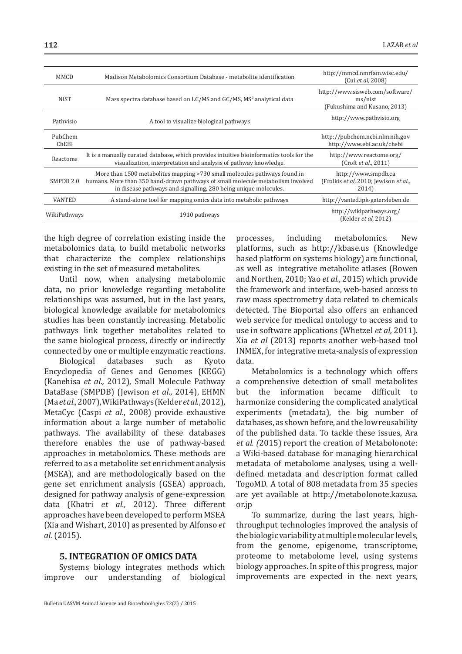| Madison Metabolomics Consortium Database - metabolite identification                                                                                                                                                            | http://mmcd.nmrfam.wisc.edu/<br>(Cui et al, 2008)                          |
|---------------------------------------------------------------------------------------------------------------------------------------------------------------------------------------------------------------------------------|----------------------------------------------------------------------------|
| Mass spectra database based on LC/MS and GC/MS, MS <sup>2</sup> analytical data                                                                                                                                                 | http://www.sisweb.com/software/<br>ms/nist<br>(Fukushima and Kusano, 2013) |
| A tool to visualize biological pathways                                                                                                                                                                                         | http://www.pathvisio.org                                                   |
|                                                                                                                                                                                                                                 | http://pubchem.ncbi.nlm.nih.gov<br>http://www.ebi.ac.uk/chebi              |
| It is a manually curated database, which provides intuitive bioinformatics tools for the<br>visualization, interpretation and analysis of pathway knowledge.                                                                    | http://www.reactome.org/<br>(Crot et al., 2011)                            |
| More than 1500 metabolites mapping >730 small molecules pathways found in<br>humans. More than 350 hand-drawn pathways of small molecule metabolism involved<br>in disease pathways and signalling, 280 being unique molecules. | http://www.smpdb.ca<br>(Frolkis et al, 2010; Jewison et al.,<br>2014)      |
| A stand-alone tool for mapping omics data into metabolic pathways                                                                                                                                                               | http://vanted.ipk-gatersleben.de                                           |
| 1910 pathways                                                                                                                                                                                                                   | http://wikipathways.org/<br>(Kelder et al, 2012)                           |
|                                                                                                                                                                                                                                 | WikiPathways                                                               |

the high degree of correlation existing inside the metabolomics data, to build metabolic networks that characterize the complex relationships existing in the set of measured metabolites.

Until now, when analysing metabolomic data, no prior knowledge regarding metabolite relationships was assumed, but in the last years, biological knowledge available for metabolomics studies has been constantly increasing. Metabolic pathways link together metabolites related to the same biological process, directly or indirectly connected by one or multiple enzymatic reactions.

databases Encyclopedia of Genes and Genomes (KEGG) (Kanehisa *et al.,* 2012), Small Molecule Pathway DataBase (SMPDB) (Jewison *et al*., 2014), EHMN (Ma *et al.,* 2007), WikiPathways (Kelder *et al*., 2012), MetaCyc (Caspi *et al*., 2008) provide exhaustive information about a large number of metabolic pathways. The availability of these databases therefore enables the use of pathway-based approaches in metabolomics. These methods are referred to as a metabolite set enrichment analysis (MSEA), and are methodologically based on the gene set enrichment analysis (GSEA) approach, designed for pathway analysis of gene-expression data (Khatri *et al.,* 2012). Three different approaches have been developed to perform MSEA (Xia and Wishart, 2010) as presented by Alfonso *et al.* (2015).

#### **5. INTEGRATION OF OMICS DATA**

Systems biology integrates methods which<br>improve our understanding of biological understanding of biological

processes, including metabolomics. New platforms, such as http://kbase.us (Knowledge based platform on systems biology) are functional, as well as integrative metabolite atlases (Bowen and Northen, 2010; Yao *et al.,* 2015) which provide the framework and interface, web-based access to raw mass spectrometry data related to chemicals detected. The Bioportal also offers an enhanced web service for medical ontology to access and to use in software applications (Whetzel *et al,* 2011). Xia *et al* (2013) reports another web-based tool INMEX, for integrative meta-analysis of expression data.

Metabolomics is a technology which offers a comprehensive detection of small metabolites but the information became difficult to harmonize considering the complicated analytical experiments (metadata), the big number of databases, as shown before, and the low reusability of the published data. To tackle these issues, Ara *et al. (*2015) report the creation of Metabolonote: a Wiki-based database for managing hierarchical metadata of metabolome analyses, using a welldefined metadata and description format called TogoMD. A total of 808 metadata from 35 species are yet available at http://metabolonote.kazusa. or.jp

To summarize, during the last years, highthroughput technologies improved the analysis of the biologic variability at multiple molecular levels, from the genome, epigenome, transcriptome, proteome to metabolome level, using systems biology approaches. In spite of this progress, major improvements are expected in the next years,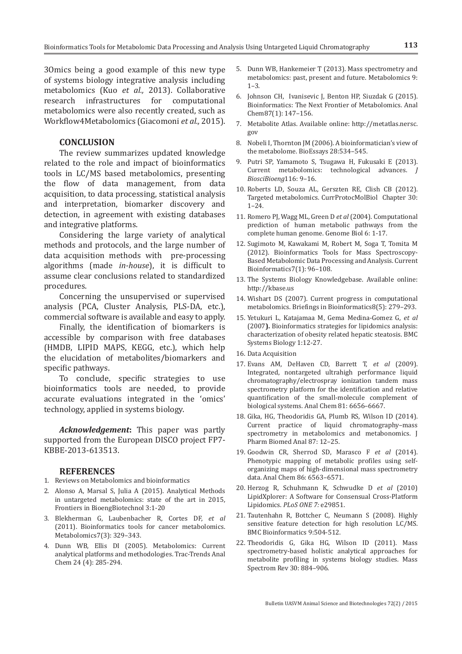3Omics being a good example of this new type of systems biology integrative analysis including metabolomics (Kuo *et al.,* 2013). Collaborative research infrastructures for computational metabolomics were also recently created, such as Workflow4Metabolomics (Giacomoni *et al.,* 2015).

#### **CONCLUSION**

The review summarizes updated knowledge related to the role and impact of bioinformatics tools in LC/MS based metabolomics, presenting the flow of data management, from data acquisition, to data processing, statistical analysis and interpretation, biomarker discovery and detection, in agreement with existing databases and integrative platforms.

Considering the large variety of analytical methods and protocols, and the large number of data acquisition methods with pre-processing algorithms (made *in-house*), it is difficult to assume clear conclusions related to standardized procedures.

Concerning the unsupervised or supervised analysis (PCA, Cluster Analysis, PLS-DA, etc.), commercial software is available and easy to apply.

Finally, the identification of biomarkers is accessible by comparison with free databases (HMDB, LIPID MAPS, KEGG, etc.), which help the elucidation of metabolites/biomarkers and specific pathways.

To conclude, specific strategies to use bioinformatics tools are needed, to provide accurate evaluations integrated in the 'omics' technology, applied in systems biology.

*Acknowledgement***:** This paper was partly supported from the European DISCO project FP7- KBBE-2013-613513.

#### **REFERENCES**

- 1. Reviews on Metabolomics and bioinformatics
- 2. Alonso A, Marsal S, Julia A (2015). Analytical Methods in untargeted metabolomics: state of the art in 2015, Frontiers in BioengBiotechnol 3:1-20
- 3. Blekherman G, Laubenbacher R, Cortes DF, *et al* (2011). Bioinformatics tools for cancer metabolomics. Metabolomics7(3): 329–343.
- 4. Dunn WB, Ellis DI (2005). Metabolomics: Current analytical platforms and methodologies. Trac-Trends Anal Chem 24 (4): 285-294.
- 5. Dunn WB, Hankemeier T (2013). Mass spectrometry and metabolomics: past, present and future. Metabolomics 9: 1–3.
- 6. Johnson CH, Ivanisevic J, Benton HP, Siuzdak G (2015). Bioinformatics: The Next Frontier of Metabolomics. Anal Chem87(1): 147–156.
- 7. Metabolite Atlas. Available online: http://metatlas.nersc. gov
- 8. Nobeli I, Thornton JM (2006). A bioinformatician's view of the metabolome. BioEssays 28:534–545.
- 9. Putri SP, Yamamoto S, Tsugawa H, Fukusaki E (2013). Current metabolomics: technological advances. *J BiosciBioeng*116: 9–16.
- 10. Roberts LD, Souza AL, Gerszten RE, Clish CB (2012). Targeted metabolomics. CurrProtocMolBiol Chapter 30: 1–24.
- 11. Romero PJ, Wagg ML, Green D *et al* (2004). Computational prediction of human metabolic pathways from the complete human genome. Genome Biol 6: 1-17.
- 12. Sugimoto M, Kawakami M, Robert M, Soga T, Tomita M (2012). Bioinformatics Tools for Mass Spectroscopy-Based Metabolomic Data Processing and Analysis. Current Bioinformatics7(1): 96–108.
- 13. The Systems Biology Knowledgebase. Available online: http://kbase.us
- 14. Wishart DS (2007). Current progress in computational metabolomics. Briefings in Bioinformatics8(5): 279–293.
- 15. Yetukuri L, Katajamaa M, Gema Medina-Gomez G, *et al* (2007**).** Bioinformatics strategies for lipidomics analysis: characterization of obesity related hepatic steatosis. BMC Systems Biology 1:12-27.
- 16. Data Acquisition
- 17. Evans AM, DeHaven CD, Barrett T, *et al* (2009). Integrated, nontargeted ultrahigh performance liquid chromatography/electrospray ionization tandem mass spectrometry platform for the identification and relative quantification of the small-molecule complement of biological systems. Anal Chem 81: 6656–6667.
- 18. Gika, HG, Theodoridis GA, Plumb RS, Wilson ID (2014). Current practice of liquid chromatography–mass spectrometry in metabolomics and metabonomics. J Pharm Biomed Anal 87: 12–25.
- 19. Goodwin CR, Sherrod SD, Marasco F *et al* (2014). Phenotypic mapping of metabolic profiles using selforganizing maps of high-dimensional mass spectrometry data. Anal Chem 86: 6563–6571.
- 20. Herzog R, Schuhmann K, Schwudke D *et al* (2010) LipidXplorer: A Software for Consensual Cross-Platform Lipidomics. *PLoS ONE 7:* e29851.
- 21. Tautenhahn R, Bottcher C, Neumann S (2008). Highly sensitive feature detection for high resolution LC/MS. BMC Bioinformatics 9:504-512.
- 22. Theodoridis G, Gika HG, Wilson ID (2011). Mass spectrometry-based holistic analytical approaches for metabolite profiling in systems biology studies. Mass Spectrom Rev 30: 884–906.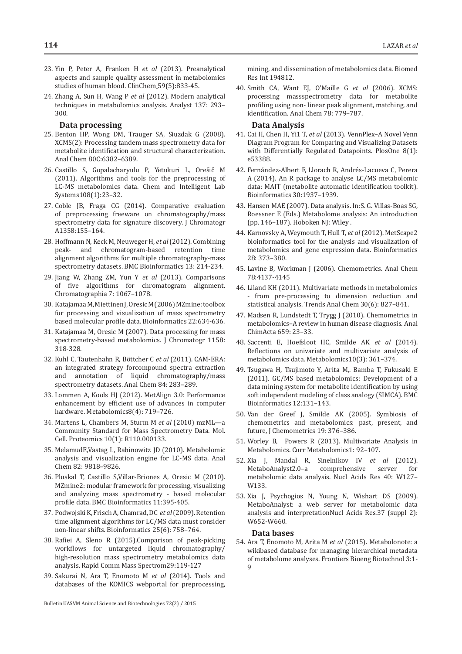- 23. Yin P, Peter A, Franken H *et al* (2013). Preanalytical aspects and sample quality assessment in metabolomics studies of human blood. ClinChem 59(5):833-45.
- 24. Zhang A, Sun H, Wang P *et al* (2012). Modern analytical techniques in metabolomics analysis. Analyst 137: 293– 300.

#### **Data processing**

- 25. Benton HP, Wong DM, Trauger SA, Siuzdak G (2008). XCMS(2): Processing tandem mass spectrometry data for metabolite identification and structural characterization. Anal Chem 80C:6382–6389.
- 26. Castillo S, Gopalacharyulu P, Yetukuri L, Orešič M (2011). Algorithms and tools for the preprocessing of LC-MS metabolomics data. Chem and Intelligent Lab Systems108(1):23–32.
- 27. Coble JB, Fraga CG (2014). Comparative evaluation of preprocessing freeware on chromatography/mass spectrometry data for signature discovery. J Chromatogr A1358:155–164.
- 28. Hoffmann N, Keck M, Neuweger H, *et al* (2012). Combining peak- and chromatogram-based retention time alignment algorithms for multiple chromatography-mass spectrometry datasets. BMC Bioinformatics 13: 214-234.
- 29. Jiang W, Zhang ZM, Yun Y *et al* (2013). Comparisons of five algorithms for chromatogram alignment. Chromatographia 7: 1067–1078.
- 30. Katajamaa M, Miettinen J, Oresic M (2006) MZmine: toolbox for processing and visualization of mass spectrometry based molecular profile data. Bioinformatics 22:634-636.
- 31. Katajamaa M, Oresic M (2007). Data processing for mass spectrometry-based metabolomics. J Chromatogr 1158: 318-328.
- 32. Kuhl C, Tautenhahn R, Böttcher C *et al* (2011). CAM-ERA: an integrated strategy forcompound spectra extraction and annotation of liquid chromatography/mass spectrometry datasets. Anal Chem 84: 283–289.
- 33. Lommen A, Kools HJ (2012). MetAlign 3.0: Performance enhancement by efficient use of advances in computer hardware. Metabolomics8(4): 719–726.
- 34. Martens L, Chambers M, Sturm M *et al* (2010) mzML—a Community Standard for Mass Spectrometry Data. Mol. Cell. Proteomics 10(1): R110.000133.
- 35. MelamudE,Vastag L, Rabinowitz JD (2010). Metabolomic analysis and visualization engine for LC-MS data. Anal Chem 82: 9818–9826.
- 36. Pluskal T, Castillo S,Villar-Briones A, Oresic M (2010). MZmine2: modular framework for processing, visualizing and analyzing mass spectrometry - based molecular profile data. BMC Bioinformatics 11:395-405.
- 37. Podwojski K, Frisch A, Chamrad, DC *et al* (2009). Retention time alignment algorithms for LC/MS data must consider non-linear shifts. Bioinformatics 25(6): 758–764.
- 38. Rafiei A, Sleno R (2015).Comparison of peak-picking workflows for untargeted liquid chromatography/ high-resolution mass spectrometry metabolomics data analysis. Rapid Comm Mass Spectrom29:119-127
- 39. Sakurai N, Ara T, Enomoto M *et al* (2014). Tools and databases of the KOMICS webportal for preprocessing,

mining, and dissemination of metabolomics data. Biomed Res Int 194812.

40. Smith CA, Want EJ, O'Maille G *et al* (2006). XCMS: processing massspectrometry data for metabolite profiling using non- linear peak alignment, matching, and identification. Anal Chem 78: 779–787.

#### **Data Analysis**

- 41. Cai H, Chen H, Yi1 T, *et al* (2013). VennPlex–A Novel Venn Diagram Program for Comparing and Visualizing Datasets with Differentially Regulated Datapoints. PlosOne 8(1): e53388.
- 42. Fernández-Albert F, Llorach R, Andrés-Lacueva C, Perera A (2014). An R package to analyse LC/MS metabolomic data: MAIT (metabolite automatic identification toolkit). Bioinformatics 30:1937–1939.
- 43. Hansen MAE (2007). Data analysis. In:S. G. Villas-Boas SG, Roessner E (Eds.) Metabolome analysis: An introduction (pp. 146–187). Hoboken NJ: Wiley .
- 44. Karnovsky A, Weymouth T, Hull T, *et al* (2012). MetScape2 bioinformatics tool for the analysis and visualization of metabolomics and gene expression data. Bioinformatics 28: 373–380.
- 45. Lavine B, Workman J (2006). Chemometrics. Anal Chem 78:4137-4145
- 46. Liland KH (2011). Multivariate methods in metabolomics from pre-processing to dimension reduction and statistical analysis. Trends Anal Chem 30(6): 827–841.
- 47. Madsen R, Lundstedt T, Trygg J (2010). Chemometrics in metabolomics–A review in human disease diagnosis. Anal ChimActa 659: 23–33.
- 48. Saccenti E, Hoefsloot HC, Smilde AK *et al* (2014). Reflections on univariate and multivariate analysis of metabolomics data. Metabolomics10(3): 361–374.
- 49. Tsugawa H, Tsujimoto Y, Arita M,. Bamba T, Fukusaki E (2011). GC/MS based metabolomics: Development of a data mining system for metabolite identification by using soft independent modeling of class analogy (SIMCA). BMC Bioinformatics 12:131–143.
- 50. Van der Greef J, Smilde AK (2005). Symbiosis of chemometrics and metabolomics: past, present, and future, J Chemometrics 19: 376–386.
- 51. Worley B, Powers R (2013). Multivariate Analysis in Metabolomics. Curr Metabolomics1: 92–107.
- 52. Xia J, Mandal R, Sinelnikov IV *et al* (2012). comprehensive server for metabolomic data analysis. Nucl Acids Res 40: W127– W133.
- 53. Xia J, Psychogios N, Young N, Wishart DS (2009). MetaboAnalyst: a web server for metabolomic data analysis and interpretationNucl Acids Res.37 (suppl 2): W652-W660.

#### **Data bases**

54. Ara T, Enomoto M, Arita M *et al* (2015). Metabolonote: a wikibased database for managing hierarchical metadata of metabolome analyses. Frontiers Bioeng Biotechnol 3:1- 9